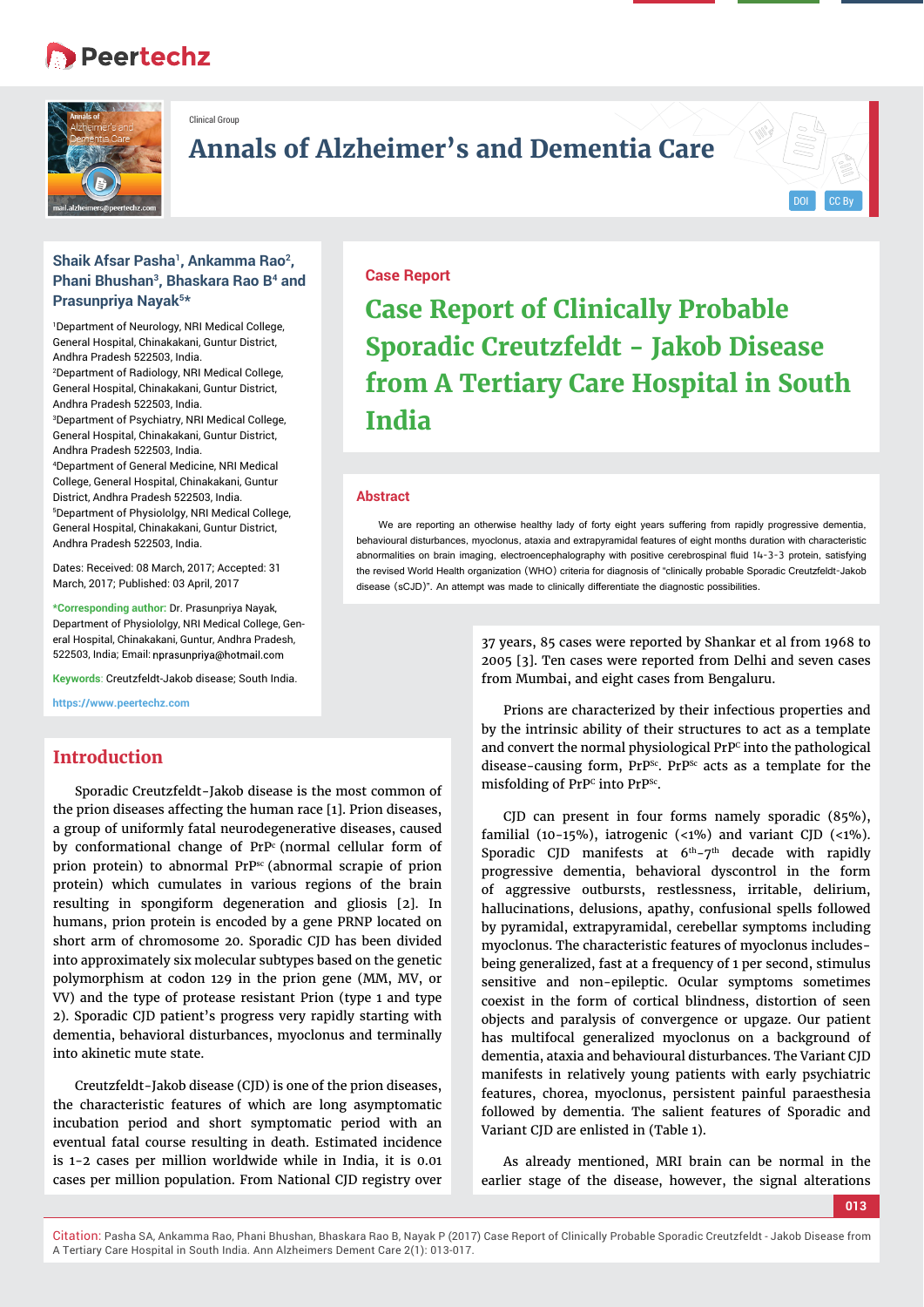# **Peertechz**



Clinical Group

# **Annals of Alzheimer's and Dementia Care**

## **Shaik Afsar Pasha1, Ankamma Rao2, Phani Bhushan3, Bhaskara Rao B4 and Prasunpriya Nayak5\***

1 Department of Neurology, NRI Medical College, General Hospital, Chinakakani, Guntur District, Andhra Pradesh 522503, India. 2 Department of Radiology, NRI Medical College, General Hospital, Chinakakani, Guntur District, Andhra Pradesh 522503, India. 3 Department of Psychiatry, NRI Medical College, General Hospital, Chinakakani, Guntur District, Andhra Pradesh 522503, India. 4 Department of General Medicine, NRI Medical College, General Hospital, Chinakakani, Guntur District, Andhra Pradesh 522503, India. 5 Department of Physiololgy, NRI Medical College, General Hospital, Chinakakani, Guntur District, Andhra Pradesh 522503, India.

Dates: Received: 08 March, 2017; Accepted: 31 March, 2017; Published: 03 April, 2017

**\*Corresponding author:** Dr. Prasunpriya Nayak, Department of Physiololgy, NRI Medical College, General Hospital, Chinakakani, Guntur, Andhra Pradesh, 522503, India; Email:

**Keywords**: Creutzfeldt-Jakob disease; South India.

**https://www.peertechz.com**

# **Introduction**

Sporadic Creutzfeldt-Jakob disease is the most common of the prion diseases affecting the human race [1]. Prion diseases, a group of uniformly fatal neurodegenerative diseases, caused by conformational change of PrPc (normal cellular form of prion protein) to abnormal PrPsc (abnormal scrapie of prion protein) which cumulates in various regions of the brain resulting in spongiform degeneration and gliosis [2]. In humans, prion protein is encoded by a gene PRNP located on short arm of chromosome 20. Sporadic CJD has been divided into approximately six molecular subtypes based on the genetic polymorphism at codon 129 in the prion gene (MM, MV, or VV) and the type of protease resistant Prion (type 1 and type 2). Sporadic CJD patient's progress very rapidly starting with dementia, behavioral disturbances, myoclonus and terminally into akinetic mute state.

Creutzfeldt-Jakob disease (CJD) is one of the prion diseases, the characteristic features of which are long asymptomatic incubation period and short symptomatic period with an eventual fatal course resulting in death. Estimated incidence is 1-2 cases per million worldwide while in India, it is 0.01 cases per million population. From National CJD registry over

#### **Case Report**

**Case Report of Clinically Probable Sporadic Creutzfeldt - Jakob Disease from A Tertiary Care Hospital in South India**

#### **Abstract**

We are reporting an otherwise healthy lady of forty eight years suffering from rapidly progressive dementia, behavioural disturbances, myoclonus, ataxia and extrapyramidal features of eight months duration with characteristic abnormalities on brain imaging, electroencephalography with positive cerebrospinal fluid 14-3-3 protein, satisfying the revised World Health organization (WHO) criteria for diagnosis of "clinically probable Sporadic Creutzfeldt-Jakob disease (sCJD)". An attempt was made to clinically differentiate the diagnostic possibilities.

> 37 years, 85 cases were reported by Shankar et al from 1968 to 2005 [3]. Ten cases were reported from Delhi and seven cases from Mumbai, and eight cases from Bengaluru.

> Prions are characterized by their infectious properties and by the intrinsic ability of their structures to act as a template and convert the normal physiological PrP<sup>c</sup> into the pathological disease-causing form, PrP<sup>Sc</sup>. PrP<sup>Sc</sup> acts as a template for the misfolding of PrP<sup>c</sup> into PrP<sup>sc</sup>.

> CJD can present in four forms namely sporadic (85%), familial (10-15%), iatrogenic  $\langle$ <1%) and variant CJD  $\langle$ <1%). Sporadic CJD manifests at  $6<sup>th</sup>-7<sup>th</sup>$  decade with rapidly progressive dementia, behavioral dyscontrol in the form of aggressive outbursts, restlessness, irritable, delirium, hallucinations, delusions, apathy, confusional spells followed by pyramidal, extrapyramidal, cerebellar symptoms including myoclonus. The characteristic features of myoclonus includesbeing generalized, fast at a frequency of 1 per second, stimulus sensitive and non-epileptic. Ocular symptoms sometimes coexist in the form of cortical blindness, distortion of seen objects and paralysis of convergence or upgaze. Our patient has multifocal generalized myoclonus on a background of dementia, ataxia and behavioural disturbances. The Variant CJD manifests in relatively young patients with early psychiatric features, chorea, myoclonus, persistent painful paraesthesia followed by dementia. The salient features of Sporadic and Variant CJD are enlisted in (Table 1).

> As already mentioned, MRI brain can be normal in the earlier stage of the disease, however, the signal alterations

Citation: Pasha SA, Ankamma Rao, Phani Bhushan, Bhaskara Rao B, Nayak P (2017) Case Report of Clinically Probable Sporadic Creutzfeldt - Jakob Disease from A Tertiary Care Hospital in South India. Ann Alzheimers Dement Care 2(1): 013-017.

DOI CC By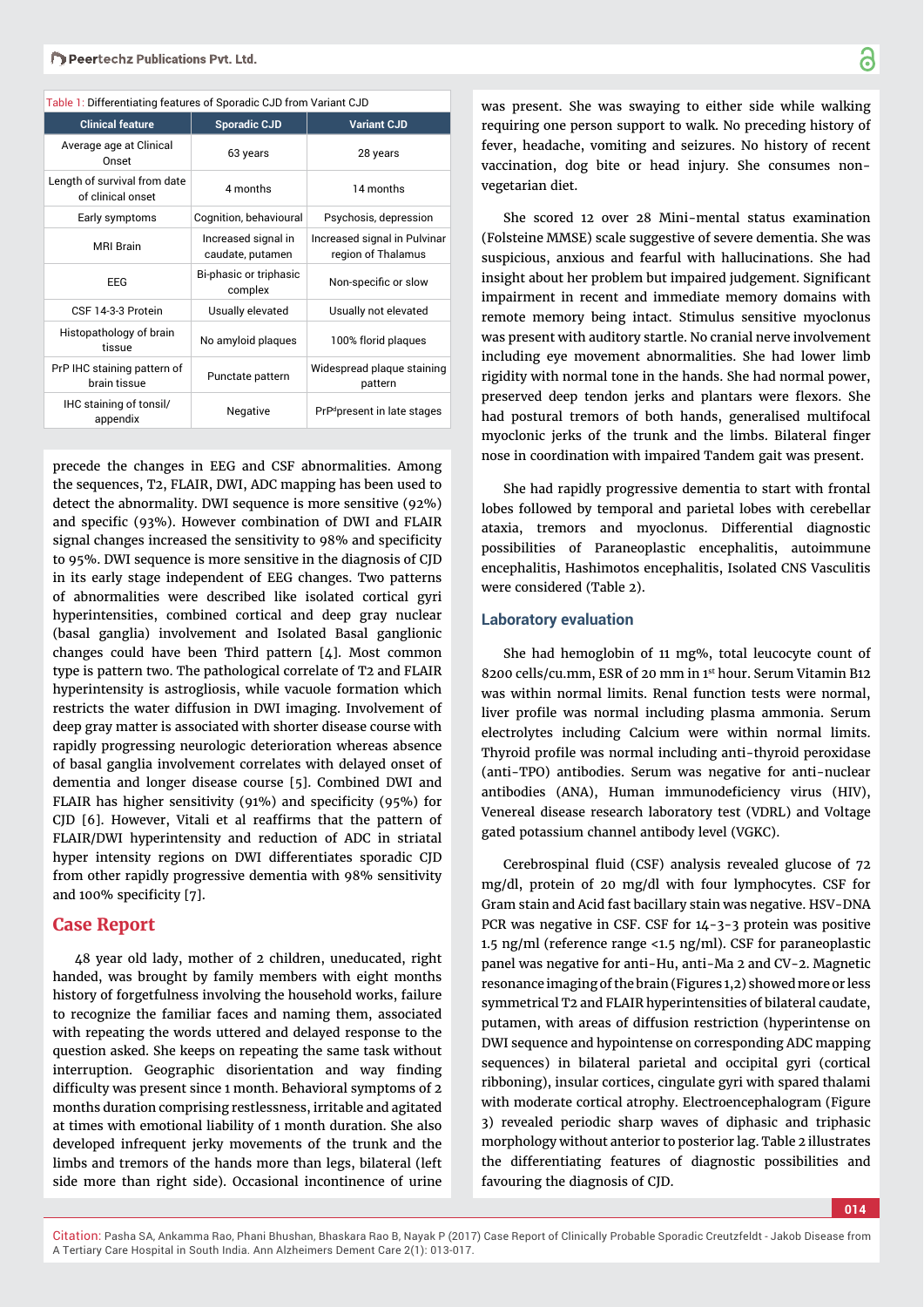| able it bincremating reatarco or oporagio oob from variant oob |                                         |                                                    |  |  |  |
|----------------------------------------------------------------|-----------------------------------------|----------------------------------------------------|--|--|--|
| <b>Clinical feature</b>                                        | <b>Sporadic CJD</b>                     | <b>Variant CJD</b>                                 |  |  |  |
| Average age at Clinical<br>Onset                               | 63 years                                | 28 years                                           |  |  |  |
| Length of survival from date<br>of clinical onset              | 4 months                                | 14 months                                          |  |  |  |
| Early symptoms                                                 | Cognition, behavioural                  | Psychosis, depression                              |  |  |  |
| <b>MRI Brain</b>                                               | Increased signal in<br>caudate, putamen | Increased signal in Pulvinar<br>region of Thalamus |  |  |  |
| <b>EEG</b>                                                     | Bi-phasic or triphasic<br>complex       | Non-specific or slow                               |  |  |  |
| CSF 14-3-3 Protein                                             | Usually elevated                        | Usually not elevated                               |  |  |  |
| Histopathology of brain<br>tissue                              | No amyloid plaques                      | 100% florid plagues                                |  |  |  |
| PrP IHC staining pattern of<br>brain tissue                    | Punctate pattern                        | Widespread plaque staining<br>pattern              |  |  |  |
| IHC staining of tonsil/<br>appendix                            | Negative                                | PrP <sup>d</sup> present in late stages            |  |  |  |

precede the changes in EEG and CSF abnormalities. Among the sequences, T2, FLAIR, DWI, ADC mapping has been used to detect the abnormality. DWI sequence is more sensitive (92%) and specific (93%). However combination of DWI and FLAIR signal changes increased the sensitivity to 98% and specificity to 95%. DWI sequence is more sensitive in the diagnosis of CJD in its early stage independent of EEG changes. Two patterns of abnormalities were described like isolated cortical gyri hyperintensities, combined cortical and deep gray nuclear (basal ganglia) involvement and Isolated Basal ganglionic changes could have been Third pattern [4]. Most common type is pattern two. The pathological correlate of T2 and FLAIR hyperintensity is astrogliosis, while vacuole formation which restricts the water diffusion in DWI imaging. Involvement of deep gray matter is associated with shorter disease course with rapidly progressing neurologic deterioration whereas absence of basal ganglia involvement correlates with delayed onset of dementia and longer disease course [5]. Combined DWI and FLAIR has higher sensitivity (91%) and specificity (95%) for CJD [6]. However, Vitali et al reaffirms that the pattern of FLAIR/DWI hyperintensity and reduction of ADC in striatal hyper intensity regions on DWI differentiates sporadic CJD from other rapidly progressive dementia with 98% sensitivity and 100% specificity [7].

## **Case Report**

48 year old lady, mother of 2 children, uneducated, right handed, was brought by family members with eight months history of forgetfulness involving the household works, failure to recognize the familiar faces and naming them, associated with repeating the words uttered and delayed response to the question asked. She keeps on repeating the same task without interruption. Geographic disorientation and way finding difficulty was present since 1 month. Behavioral symptoms of 2 months duration comprising restlessness, irritable and agitated at times with emotional liability of 1 month duration. She also developed infrequent jerky movements of the trunk and the limbs and tremors of the hands more than legs, bilateral (left side more than right side). Occasional incontinence of urine

was present. She was swaying to either side while walking requiring one person support to walk. No preceding history of fever, headache, vomiting and seizures. No history of recent vaccination, dog bite or head injury. She consumes nonvegetarian diet.

She scored 12 over 28 Mini-mental status examination (Folsteine MMSE) scale suggestive of severe dementia. She was suspicious, anxious and fearful with hallucinations. She had insight about her problem but impaired judgement. Significant impairment in recent and immediate memory domains with remote memory being intact. Stimulus sensitive myoclonus was present with auditory startle. No cranial nerve involvement including eye movement abnormalities. She had lower limb rigidity with normal tone in the hands. She had normal power, preserved deep tendon jerks and plantars were flexors. She had postural tremors of both hands, generalised multifocal myoclonic jerks of the trunk and the limbs. Bilateral finger nose in coordination with impaired Tandem gait was present.

She had rapidly progressive dementia to start with frontal lobes followed by temporal and parietal lobes with cerebellar ataxia, tremors and myoclonus. Differential diagnostic possibilities of Paraneoplastic encephalitis, autoimmune encephalitis, Hashimotos encephalitis, Isolated CNS Vasculitis were considered (Table 2).

#### **Laboratory evaluation**

She had hemoglobin of 11 mg%, total leucocyte count of 8200 cells/cu.mm, ESR of 20 mm in 1st hour. Serum Vitamin B12 was within normal limits. Renal function tests were normal, liver profile was normal including plasma ammonia. Serum electrolytes including Calcium were within normal limits. Thyroid profile was normal including anti-thyroid peroxidase (anti-TPO) antibodies. Serum was negative for anti-nuclear antibodies (ANA), Human immunodeficiency virus (HIV), Venereal disease research laboratory test (VDRL) and Voltage gated potassium channel antibody level (VGKC).

Cerebrospinal fluid (CSF) analysis revealed glucose of 72 mg/dl, protein of 20 mg/dl with four lymphocytes. CSF for Gram stain and Acid fast bacillary stain was negative. HSV-DNA PCR was negative in CSF. CSF for 14-3-3 protein was positive 1.5 ng/ml (reference range <1.5 ng/ml). CSF for paraneoplastic panel was negative for anti-Hu, anti-Ma 2 and CV-2. Magnetic resonance imaging of the brain (Figures 1,2) showed more or less symmetrical T2 and FLAIR hyperintensities of bilateral caudate, putamen, with areas of diffusion restriction (hyperintense on DWI sequence and hypointense on corresponding ADC mapping sequences) in bilateral parietal and occipital gyri (cortical ribboning), insular cortices, cingulate gyri with spared thalami with moderate cortical atrophy. Electroencephalogram (Figure 3) revealed periodic sharp waves of diphasic and triphasic morphology without anterior to posterior lag. Table 2 illustrates the differentiating features of diagnostic possibilities and favouring the diagnosis of CJD.

**014**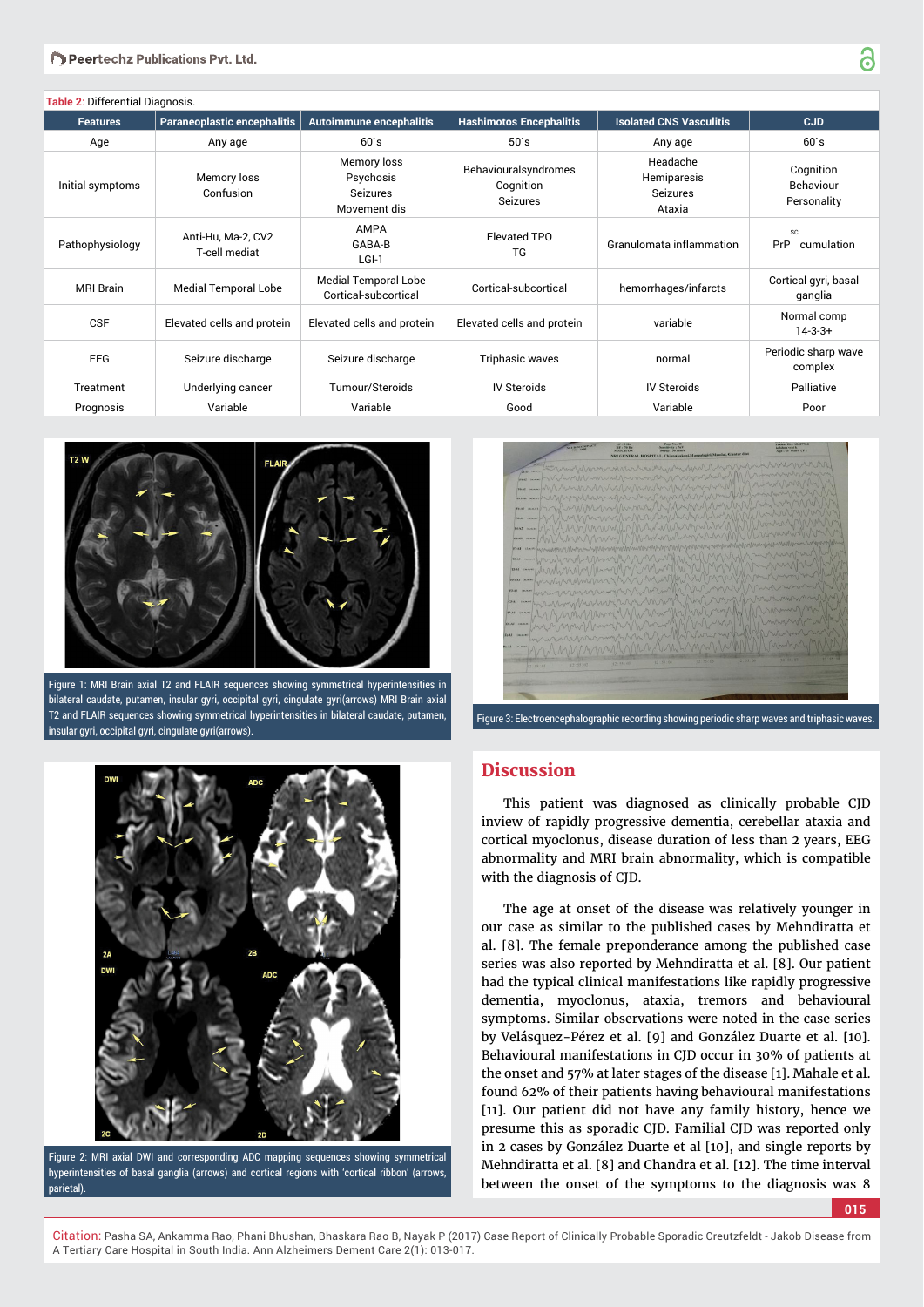| Table 2: Differential Diagnosis. |                                     |                                                             |                                                      |                                                      |                                              |  |  |
|----------------------------------|-------------------------------------|-------------------------------------------------------------|------------------------------------------------------|------------------------------------------------------|----------------------------------------------|--|--|
| <b>Features</b>                  | Paraneoplastic encephalitis         | <b>Autoimmune encephalitis</b>                              | <b>Hashimotos Encephalitis</b>                       | <b>Isolated CNS Vasculitis</b>                       | <b>CJD</b>                                   |  |  |
| Age                              | Any age                             | $60$ `s                                                     | $50$ `s                                              | Any age                                              | $60$ `s                                      |  |  |
| Initial symptoms                 | Memory loss<br>Confusion            | Memory loss<br>Psychosis<br><b>Seizures</b><br>Movement dis | Behaviouralsyndromes<br>Cognition<br><b>Seizures</b> | Headache<br>Hemiparesis<br><b>Seizures</b><br>Ataxia | Cognition<br><b>Behaviour</b><br>Personality |  |  |
| Pathophysiology                  | Anti-Hu, Ma-2, CV2<br>T-cell mediat | <b>AMPA</b><br>GABA-B<br>LGI-1                              | Elevated TPO<br>TG                                   | Granulomata inflammation                             | SC<br>PrP<br>cumulation                      |  |  |
| <b>MRI Brain</b>                 | <b>Medial Temporal Lobe</b>         | <b>Medial Temporal Lobe</b><br>Cortical-subcortical         | Cortical-subcortical                                 | hemorrhages/infarcts                                 | Cortical gyri, basal<br>ganglia              |  |  |
| <b>CSF</b>                       | Elevated cells and protein          | Elevated cells and protein                                  | Elevated cells and protein                           | variable                                             | Normal comp<br>$14-3-3+$                     |  |  |
| <b>EEG</b>                       | Seizure discharge                   | Seizure discharge                                           | Triphasic waves                                      | normal                                               | Periodic sharp wave<br>complex               |  |  |
| Treatment                        | Underlying cancer                   | Tumour/Steroids                                             | <b>IV Steroids</b>                                   | <b>IV Steroids</b>                                   | Palliative                                   |  |  |
| Prognosis                        | Variable                            | Variable                                                    | Good                                                 | Variable                                             | Poor                                         |  |  |



Figure 1: MRI Brain axial T2 and FLAIR sequences showing symmetrical hyperintensities in bilateral caudate, putamen, insular gyri, occipital gyri, cingulate gyri(arrows) MRI Brain axial T2 and FLAIR sequences showing symmetrical hyperintensities in bilateral caudate, putamen, insular gyri, occipital gyri, cingulate gyri(arrows).



Figure 2: MRI axial DWI and corresponding ADC mapping sequences showing symmetrical hyperintensities of basal ganglia (arrows) and cortical regions with 'cortical ribbon' (arrows parietal).

| Gent cann<br>VAAT INNA      |          | winning                    |          |                                          |
|-----------------------------|----------|----------------------------|----------|------------------------------------------|
| TEAT TEAM                   |          | MARMANUMMAN                |          |                                          |
| <b>FFIAT INAN</b>           | UNIV     | MMMM                       |          |                                          |
| FAAT Inne                   |          |                            |          |                                          |
| C4.42<br><b>COLORED AVE</b> |          |                            |          |                                          |
| PEAT                        |          |                            |          |                                          |
| <b>CIO-AZ</b><br>FS-AL      |          |                            |          |                                          |
| <b>T3.AT</b>                |          |                            |          |                                          |
| 75.83 IRANI                 |          |                            |          |                                          |
| <b>FFIAT INAMI</b>          |          |                            |          |                                          |
| <b>F3-A1</b><br>10.0.0      |          |                            |          |                                          |
| CIAI                        |          |                            |          |                                          |
| $P3-AB$<br>inna             |          |                            |          |                                          |
| $14 - 10$<br>14,84,95       |          |                            |          |                                          |
| Fe-All<br>INAM              |          |                            |          |                                          |
| $1 - 12$<br><b>INNA</b>     |          |                            |          |                                          |
|                             |          |                            |          | $12 - 55$<br>$712 - 55 - 07$<br>12.35.05 |
| $10 - 22 - 1$               | 12/35 H2 | $12 - 55 - 04$<br>12:55:03 | 12155205 |                                          |
|                             |          |                            |          |                                          |
|                             |          |                            |          |                                          |

## **Discussion**

This patient was diagnosed as clinically probable CJD inview of rapidly progressive dementia, cerebellar ataxia and cortical myoclonus, disease duration of less than 2 years, EEG abnormality and MRI brain abnormality, which is compatible with the diagnosis of CJD.

The age at onset of the disease was relatively younger in our case as similar to the published cases by Mehndiratta et al. [8]. The female preponderance among the published case series was also reported by Mehndiratta et al. [8]. Our patient had the typical clinical manifestations like rapidly progressive dementia, myoclonus, ataxia, tremors and behavioural symptoms. Similar observations were noted in the case series by Velásquez-Pérez et al. [9] and González Duarte et al. [10]. Behavioural manifestations in CJD occur in 30% of patients at the onset and 57% at later stages of the disease [1]. Mahale et al. found 62% of their patients having behavioural manifestations [11]. Our patient did not have any family history, hence we presume this as sporadic CJD. Familial CJD was reported only in 2 cases by González Duarte et al [10], and single reports by Mehndiratta et al. [8] and Chandra et al. [12]. The time interval between the onset of the symptoms to the diagnosis was 8

**015**

Citation: Pasha SA, Ankamma Rao, Phani Bhushan, Bhaskara Rao B, Nayak P (2017) Case Report of Clinically Probable Sporadic Creutzfeldt - Jakob Disease from A Tertiary Care Hospital in South India. Ann Alzheimers Dement Care 2(1): 013-017.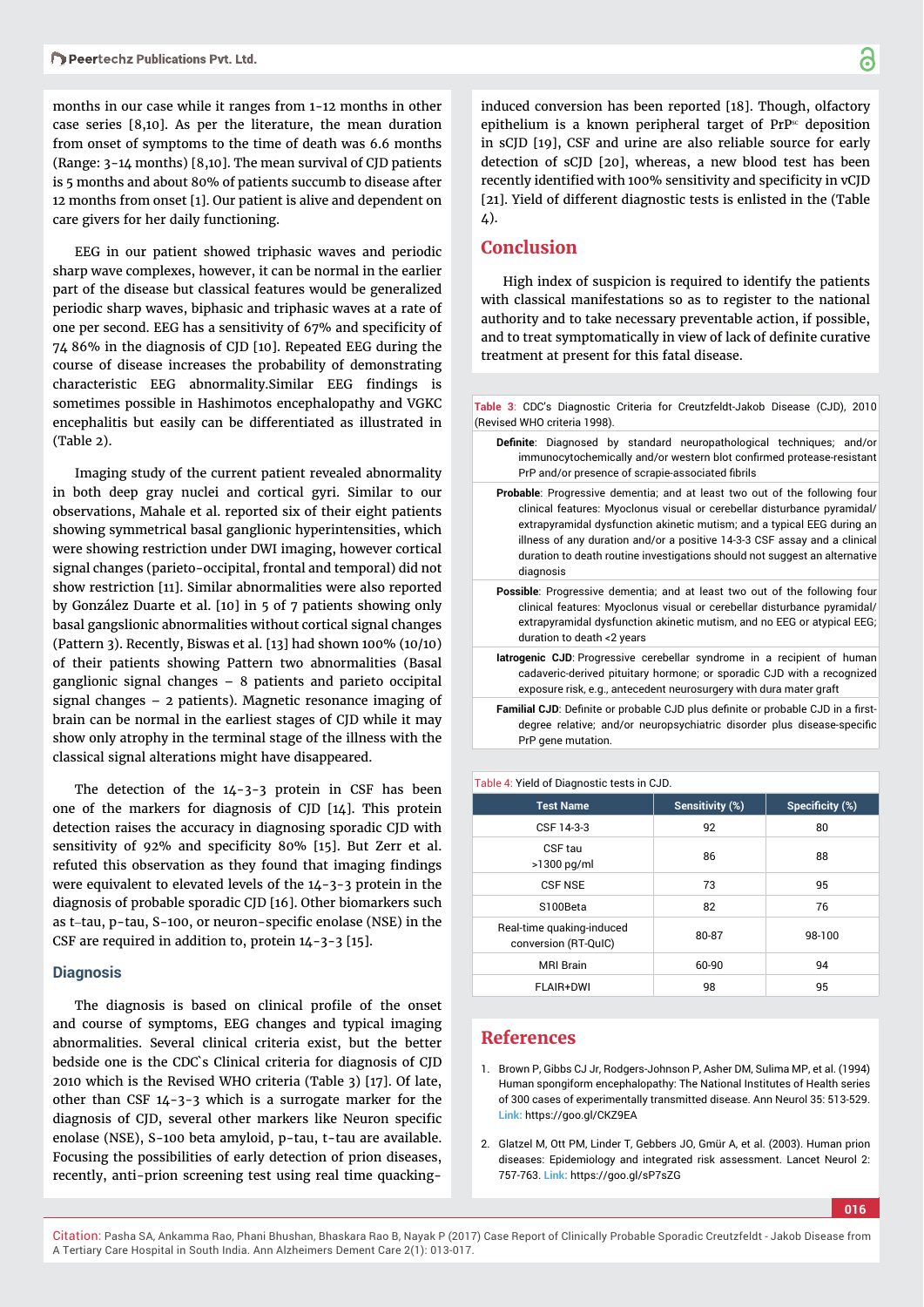months in our case while it ranges from 1-12 months in other case series [8,10]. As per the literature, the mean duration from onset of symptoms to the time of death was 6.6 months (Range: 3-14 months) [8,10]. The mean survival of CJD patients is 5 months and about 80% of patients succumb to disease after 12 months from onset [1]. Our patient is alive and dependent on care givers for her daily functioning.

EEG in our patient showed triphasic waves and periodic sharp wave complexes, however, it can be normal in the earlier part of the disease but classical features would be generalized periodic sharp waves, biphasic and triphasic waves at a rate of one per second. EEG has a sensitivity of 67% and specificity of 74 86% in the diagnosis of CJD [10]. Repeated EEG during the course of disease increases the probability of demonstrating characteristic EEG abnormality.Similar EEG findings is sometimes possible in Hashimotos encephalopathy and VGKC encephalitis but easily can be differentiated as illustrated in (Table 2).

Imaging study of the current patient revealed abnormality in both deep gray nuclei and cortical gyri. Similar to our observations, Mahale et al. reported six of their eight patients showing symmetrical basal ganglionic hyperintensities, which were showing restriction under DWI imaging, however cortical signal changes (parieto-occipital, frontal and temporal) did not show restriction [11]. Similar abnormalities were also reported by González Duarte et al. [10] in 5 of 7 patients showing only basal gangslionic abnormalities without cortical signal changes (Pattern 3). Recently, Biswas et al. [13] had shown 100% (10/10) of their patients showing Pattern two abnormalities (Basal ganglionic signal changes – 8 patients and parieto occipital signal changes – 2 patients). Magnetic resonance imaging of brain can be normal in the earliest stages of CJD while it may show only atrophy in the terminal stage of the illness with the classical signal alterations might have disappeared.

The detection of the 14-3-3 protein in CSF has been one of the markers for diagnosis of CJD [14]. This protein detection raises the accuracy in diagnosing sporadic CJD with sensitivity of 92% and specificity 80% [15]. But Zerr et al. refuted this observation as they found that imaging findings were equivalent to elevated levels of the 14-3-3 protein in the diagnosis of probable sporadic CJD [16]. Other biomarkers such as t-tau, p-tau, S-100, or neuron-specific enolase (NSE) in the CSF are required in addition to, protein 14-3-3 [15].

#### **Diagnosis**

The diagnosis is based on clinical profile of the onset and course of symptoms, EEG changes and typical imaging abnormalities. Several clinical criteria exist, but the better bedside one is the CDC`s Clinical criteria for diagnosis of CJD 2010 which is the Revised WHO criteria (Table 3) [17]. Of late, other than CSF 14-3-3 which is a surrogate marker for the diagnosis of CJD, several other markers like Neuron specific enolase (NSE), S-100 beta amyloid, p-tau, t-tau are available. Focusing the possibilities of early detection of prion diseases, recently, anti-prion screening test using real time quackinginduced conversion has been reported [18]. Though, olfactory epithelium is a known peripheral target of  $PrP^{sc}$  deposition in sCJD [19], CSF and urine are also reliable source for early detection of sCJD [20], whereas, a new blood test has been recently identified with 100% sensitivity and specificity in vCJD [21]. Yield of different diagnostic tests is enlisted in the (Table 4).

### **Conclusion**

High index of suspicion is required to identify the patients with classical manifestations so as to register to the national authority and to take necessary preventable action, if possible, and to treat symptomatically in view of lack of definite curative treatment at present for this fatal disease.

**Table 3**: CDC's Diagnostic Criteria for Creutzfeldt-Jakob Disease (CJD), 2010 (Revised WHO criteria 1998).

- Definite: Diagnosed by standard neuropathological techniques; and/or immunocytochemically and/or western blot confirmed protease-resistant PrP and/or presence of scrapie-associated fibrils
- **Probable**: Progressive dementia; and at least two out of the following four clinical features: Myoclonus visual or cerebellar disturbance pyramidal/ extrapyramidal dysfunction akinetic mutism; and a typical EEG during an illness of any duration and/or a positive 14-3-3 CSF assay and a clinical duration to death routine investigations should not suggest an alternative diagnosis
- **Possible**: Progressive dementia; and at least two out of the following four clinical features: Myoclonus visual or cerebellar disturbance pyramidal/ extrapyramidal dysfunction akinetic mutism, and no EEG or atypical EEG; duration to death <2 years
- **Iatrogenic CJD**: Progressive cerebellar syndrome in a recipient of human cadaveric-derived pituitary hormone; or sporadic CJD with a recognized exposure risk, e.g., antecedent neurosurgery with dura mater graft
- Familial CJD: Definite or probable CJD plus definite or probable CJD in a firstdegree relative; and/or neuropsychiatric disorder plus disease-specific PrP gene mutation.

| <b>Test Name</b>                                  | Sensitivity (%) | Specificity (%) |
|---------------------------------------------------|-----------------|-----------------|
| CSF 14-3-3                                        | 92              | 80              |
| CSF tau<br>$>1300$ pg/ml                          | 86              | 88              |
| <b>CSF NSE</b>                                    | 73              | 95              |
| S100Beta                                          | 82              | 76              |
| Real-time quaking-induced<br>conversion (RT-QuIC) | 80-87           | 98-100          |
| <b>MRI Brain</b>                                  | 60-90           | 94              |
| FLAIR+DWI                                         | 98              | 95              |

## **References**

Table 4: Yield of Diagnostic tests in CJD.

- 1. Brown P, Gibbs CJ Jr, Rodgers-Johnson P, Asher DM, Sulima MP, et al. (1994) Human spongiform encephalopathy: The National Institutes of Health series of 300 cases of experimentally transmitted disease. Ann Neurol 35: 513-529. **Link:** https://goo.gl/CKZ9EA
- 2. Glatzel M, Ott PM, Linder T, Gebbers JO, Gmür A, et al. (2003). Human prion diseases: Epidemiology and integrated risk assessment. Lancet Neurol 2: 757-763. **Link:** https://goo.gl/sP7sZG

**016**

Citation: Pasha SA, Ankamma Rao, Phani Bhushan, Bhaskara Rao B, Nayak P (2017) Case Report of Clinically Probable Sporadic Creutzfeldt - Jakob Disease from A Tertiary Care Hospital in South India. Ann Alzheimers Dement Care 2(1): 013-017.